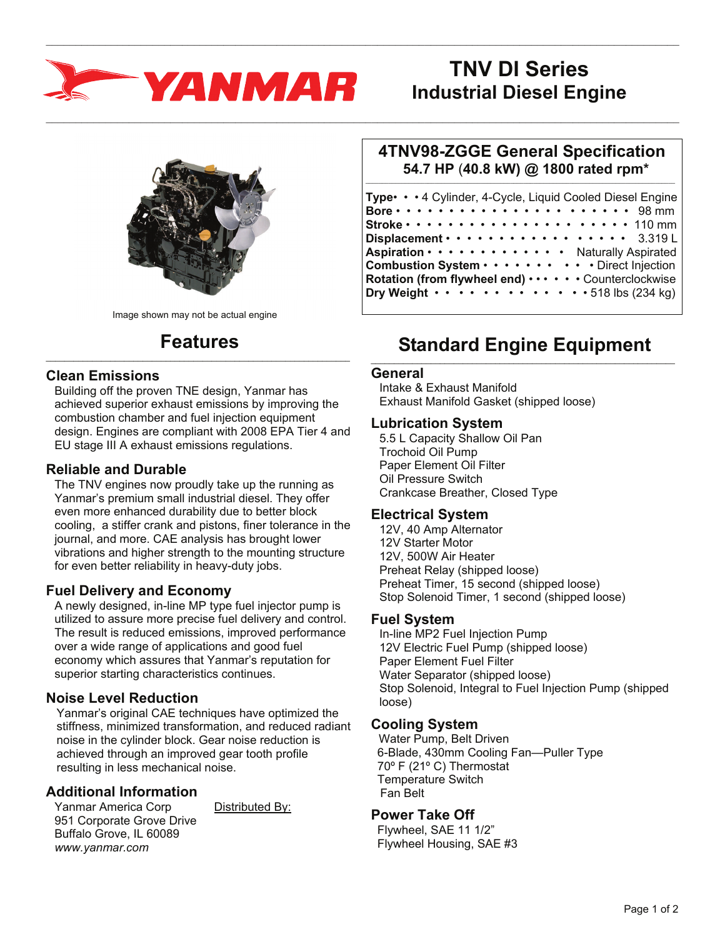

# **TNV DI Series Industrial Diesel Engine**



Image shown may not be actual engine

#### **Features**  $\_$  , and the set of the set of the set of the set of the set of the set of the set of the set of the set of the set of the set of the set of the set of the set of the set of the set of the set of the set of the set of th

### **Clean Emissions**

Building off the proven TNE design, Yanmar has achieved superior exhaust emissions by improving the combustion chamber and fuel injection equipment design. Engines are compliant with 2008 EPA Tier 4 and EU stage III A exhaust emissions regulations.

## **Reliable and Durable**

The TNV engines now proudly take up the running as Yanmar's premium small industrial diesel. They offer even more enhanced durability due to better block cooling, a stiffer crank and pistons, finer tolerance in the journal, and more. CAE analysis has brought lower vibrations and higher strength to the mounting structure for even better reliability in heavy-duty jobs.

## **Fuel Delivery and Economy**

A newly designed, in-line MP type fuel injector pump is utilized to assure more precise fuel delivery and control. The result is reduced emissions, improved performance over a wide range of applications and good fuel economy which assures that Yanmar's reputation for superior starting characteristics continues.

# **Noise Level Reduction**

Yanmar's original CAE techniques have optimized the stiffness, minimized transformation, and reduced radiant noise in the cylinder block. Gear noise reduction is achieved through an improved gear tooth profile resulting in less mechanical noise.

# **Additional Information**

Yanmar America Corp Distributed By: 951 Corporate Grove Drive Buffalo Grove, IL 60089 *www.yanmar.com* 

#### **4TNV98-ZGGE General Specification 54.7 HP** (**40.8 kW) @ 1800 rated rpm\***  $\_$  ,  $\_$  ,  $\_$  ,  $\_$  ,  $\_$  ,  $\_$  ,  $\_$  ,  $\_$  ,  $\_$  ,  $\_$  ,  $\_$  ,  $\_$  ,  $\_$  ,  $\_$  ,  $\_$  ,  $\_$  ,  $\_$  ,  $\_$  ,  $\_$  ,  $\_$

| Type • • • 4 Cylinder, 4-Cycle, Liquid Cooled Diesel Engine                                                                         |
|-------------------------------------------------------------------------------------------------------------------------------------|
| Bore $\cdots$ $\cdots$ $\cdots$ $\cdots$ $\cdots$ $\cdots$ $\cdots$ $\cdots$ 98 mm                                                  |
| Stroke $\cdots$ $\cdots$ $\cdots$ $\cdots$ $\cdots$ $\cdots$ $\cdots$ $\cdots$ $\cdots$ 110 mm                                      |
| Displacement · · · · · · · · · · · · · · · · · · 3.319L                                                                             |
| Aspiration · · · · · · · · · · · · · Naturally Aspirated                                                                            |
| Combustion System Direct Injection                                                                                                  |
| Rotation (from flywheel end)  Counterclockwise<br>Dry Weight $\cdots$ $\cdots$ $\cdots$ $\cdots$ $\cdots$ $\cdots$ 518 lbs (234 kg) |

## **Standard Engine Equipment**  $\_$  , and the set of the set of the set of the set of the set of the set of the set of the set of the set of the set of the set of the set of the set of the set of the set of the set of the set of the set of the set of th

#### **General**

 $\_$  , and the state of the state of the state of the state of the state of the state of the state of the state of the state of the state of the state of the state of the state of the state of the state of the state of the

 $\_$  , and the state of the state of the state of the state of the state of the state of the state of the state of the state of the state of the state of the state of the state of the state of the state of the state of the

Intake & Exhaust Manifold Exhaust Manifold Gasket (shipped loose)

#### **Lubrication System**

5.5 L Capacity Shallow Oil Pan Trochoid Oil Pump Paper Element Oil Filter Oil Pressure Switch Crankcase Breather, Closed Type

#### **Electrical System**

12V, 40 Amp Alternator 12V Starter Motor 12V, 500W Air Heater Preheat Relay (shipped loose) Preheat Timer, 15 second (shipped loose) Stop Solenoid Timer, 1 second (shipped loose)

## **Fuel System**

In-line MP2 Fuel Injection Pump 12V Electric Fuel Pump (shipped loose) Paper Element Fuel Filter Water Separator (shipped loose) Stop Solenoid, Integral to Fuel Injection Pump (shipped loose)

## **Cooling System**

 Water Pump, Belt Driven 6-Blade, 430mm Cooling Fan—Puller Type 70º F (21º C) Thermostat Temperature Switch Fan Belt

# **Power Take Off**

 Flywheel, SAE 11 1/2" Flywheel Housing, SAE #3